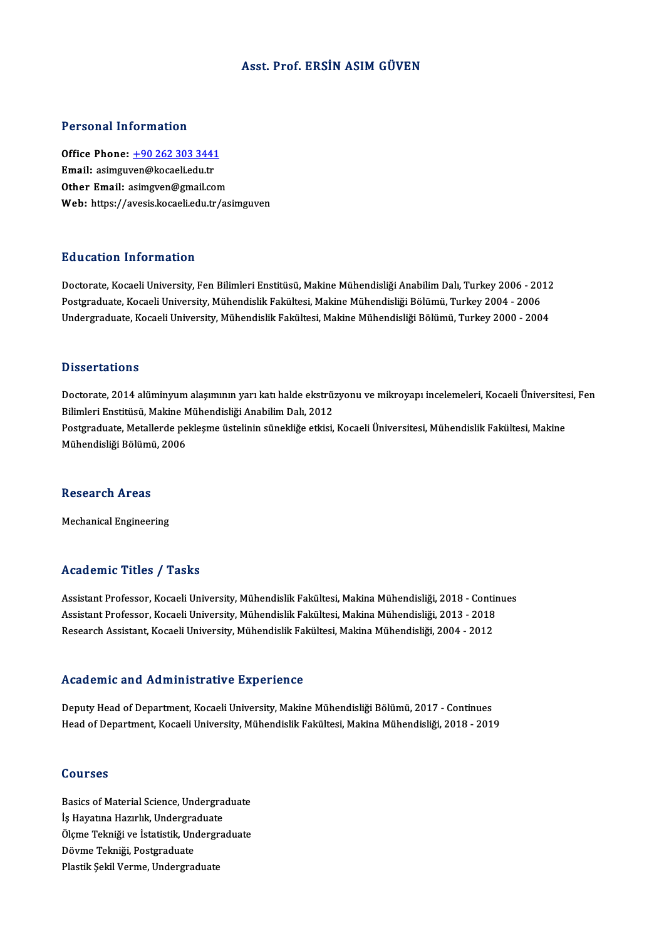### Asst. Prof. ERSİN ASIMGÜVEN

### Personal Information

Personal Information<br>Office Phone: <u>+90 262 303 3441</u><br>Email: asimgwon@kesaaliadu.tr 1 STOSHET MESTMELTON<br>Office Phone: <u>+90 262 303 3441</u><br>Email: asimgu[ven@kocaeli.edu.tr](tel:+90 262 303 3441) Office Phone: <u>+90 262 303 3441</u><br>Email: asimguven@kocaeli.edu.tr<br>Other Email: asimgven@gmail.com Email: asimguven@kocaeli.edu.tr<br>Other Email: asimgven@gmail.com<br>Web: https://avesis.kocaeli.edu.tr/asimguven

### Education Information

**Education Information**<br>Doctorate, Kocaeli University, Fen Bilimleri Enstitüsü, Makine Mühendisliği Anabilim Dalı, Turkey 2006 - 2012<br>Postsraduata Kosaeli University, Mühendielik Fakültesi, Makine Mühendieliği Bölümü, Turk Pu u sutrom minominucion<br>Doctorate, Kocaeli University, Fen Bilimleri Enstitüsü, Makine Mühendisliği Anabilim Dalı, Turkey 2006 - 201<br>Undergraduate, Kocaeli University, Mühendislik Fakültesi, Makine Mühendisliği Bölümü, Tu Doctorate, Kocaeli University, Fen Bilimleri Enstitüsü, Makine Mühendisliği Anabilim Dalı, Turkey 2006 - 2012<br>Postgraduate, Kocaeli University, Mühendislik Fakültesi, Makine Mühendisliği Bölümü, Turkey 2004 - 2006<br>Undergra Undergraduate, Kocaeli University, Mühendislik Fakültesi, Makine Mühendisliği Bölümü, Turkey 2000 - 2004<br>Dissertations

Dissertations<br>Doctorate, 2014 alüminyum alaşımının yarı katı halde ekstrüzyonu ve mikroyapı incelemeleri, Kocaeli Üniversitesi, Fen<br>Bilimleri Enstitücü, Melsine Mühandieliği Anebilim Delı, 2012 Bilimleri<br>Bilimleri Enstitüsü, Makine Mühendisliği Anabilim Dalı, 2012<br>Bestanadusta Matallarda paklasma üstelinin sünakliğa atkisi Doctorate, 2014 alüminyum alaşımının yarı katı halde ekstrüzyonu ve mikroyapı incelemeleri, Kocaeli Üniversites<br>Bilimleri Enstitüsü, Makine Mühendisliği Anabilim Dalı, 2012<br>Postgraduate, Metallerde pekleşme üstelinin sünek Bilimleri Enstitüsü, Makine Mühendisliği Anabilim Dalı, 2012<br>Postgraduate, Metallerde pekleşme üstelinin sünekliğe etkisi, Kocaeli Üniversitesi, Mühendislik Fakültesi, Makine<br>Mühendisliği Bölümü, 2006

### **Research Areas**

Mechanical Engineering

### Academic Titles / Tasks

Academic Titles / Tasks<br>Assistant Professor, Kocaeli University, Mühendislik Fakültesi, Makina Mühendisliği, 2018 - Continues<br>Assistant Professor, Kocaeli University, Mühendislik Fakültesi, Makina Mühendisliği, 2013 - 2019 Assistant Professor, Kocaeli University, Mühendislik Fakültesi, Makina Mühendisliği, 2018 - Contin<br>Assistant Professor, Kocaeli University, Mühendislik Fakültesi, Makina Mühendisliği, 2013 - 2018<br>Researsh Assistant, Kosael Assistant Professor, Kocaeli University, Mühendislik Fakültesi, Makina Mühendisliği, 2018 - Conti<br>Assistant Professor, Kocaeli University, Mühendislik Fakültesi, Makina Mühendisliği, 2013 - 2018<br>Research Assistant, Kocaeli Research Assistant, Kocaeli University, Mühendislik Fakültesi, Makina Mühendisliği, 2004 - 2012<br>Academic and Administrative Experience

Deputy Head of Department, Kocaeli University, Makine Mühendisliği Bölümü, 2017 - Continues Head of Department, Kocaeli University, Mühendislik Fakültesi, Makina Mühendisliği, 2018 - 2019

### Courses

**Courses<br>Basics of Material Science, Undergraduate<br>Is Havetine Herulik, Undergraduate Basics of Material Science, Undergra<br>İş Hayatına Hazırlık, Undergraduate<br>Öleme Telmiği ve İstatistik, Undergra** Basics of Material Science, Undergraduate<br>İş Hayatına Hazırlık, Undergraduate<br>Ölçme Tekniği ve İstatistik, Undergraduate<br>Döyme Tekniği Pestanaduate İş Hayatına Hazırlık, Undergra<br>Ölçme Tekniği ve İstatistik, Und<br>Dövme Tekniği, Postgraduate<br>Plastik Seltil Verme, Undergrad Ölçme Tekniği ve İstatistik, Undergr<br>Dövme Tekniği, Postgraduate<br>Plastik Şekil Verme, Undergraduate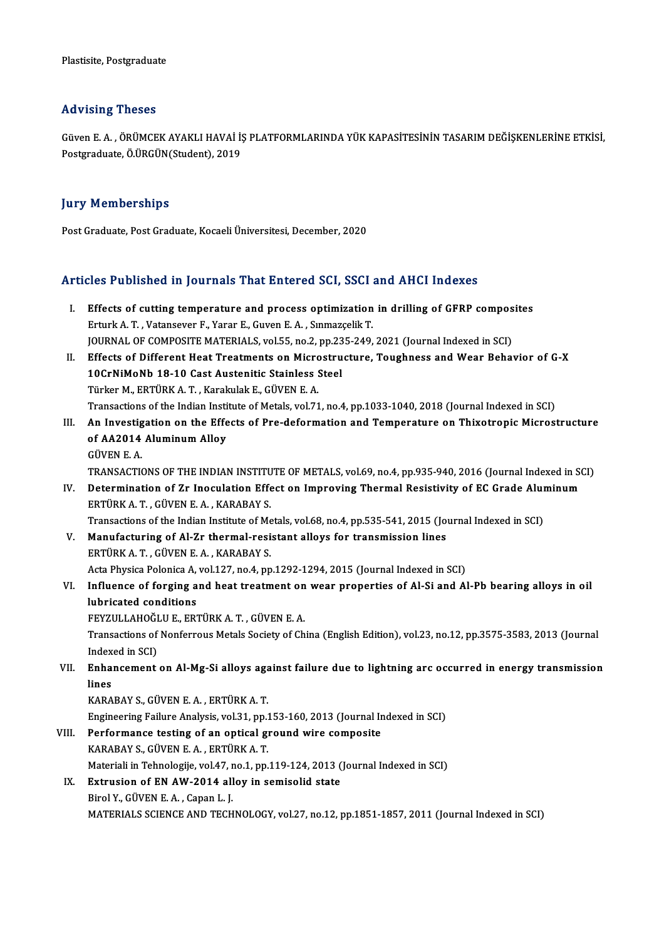## Advising Theses

Advising Theses<br>Güven E. A. , ÖRÜMCEK AYAKLI HAVAİ İŞ PLATFORMLARINDA YÜK KAPASİTESİNİN TASARIM DEĞİŞKENLERİNE ETKİSİ,<br>Pestaraduata Ö ÜRÇÜN(Student), 2019 rra vising i nosos<br>Güven E. A. , ÖRÜMCEK AYAKLI HAVAİ İ.<br>Postgraduate, Ö.ÜRGÜN(Student), 2019 Postgraduate, Ö.ÜRGÜN(Student), 2019<br>Jury Memberships

Post Graduate, Post Graduate, Kocaeli Üniversitesi, December, 2020

# Post Graduate, Post Graduate, Rocaell Universitesi, December, 2020<br>Articles Published in Journals That Entered SCI, SSCI and AHCI Indexes

| Articles Published in Journals That Entered SCI, SSCI and AHCI Indexes |                                                                                                                  |
|------------------------------------------------------------------------|------------------------------------------------------------------------------------------------------------------|
| L.                                                                     | Effects of cutting temperature and process optimization in drilling of GFRP composites                           |
|                                                                        | Erturk A. T., Vatansever F., Yarar E., Guven E. A., Sınmazçelik T.                                               |
|                                                                        | JOURNAL OF COMPOSITE MATERIALS, vol.55, no.2, pp.235-249, 2021 (Journal Indexed in SCI)                          |
| Н.                                                                     | Effects of Different Heat Treatments on Microstructure, Toughness and Wear Behavior of G-X                       |
|                                                                        | 10CrNiMoNb 18-10 Cast Austenitic Stainless Steel                                                                 |
|                                                                        | Türker M., ERTÜRK A. T., Karakulak E., GÜVEN E. A.                                                               |
|                                                                        | Transactions of the Indian Institute of Metals, vol.71, no.4, pp.1033-1040, 2018 (Journal Indexed in SCI)        |
| III.                                                                   | An Investigation on the Effects of Pre-deformation and Temperature on Thixotropic Microstructure                 |
|                                                                        | of AA2014 Aluminum Alloy                                                                                         |
|                                                                        | <b>GÜVEN E.A.</b>                                                                                                |
|                                                                        | TRANSACTIONS OF THE INDIAN INSTITUTE OF METALS, vol.69, no.4, pp.935-940, 2016 (Journal Indexed in SCI)          |
| IV.                                                                    | Determination of Zr Inoculation Effect on Improving Thermal Resistivity of EC Grade Aluminum                     |
|                                                                        | ERTÜRK A.T., GÜVEN E.A., KARABAY S.                                                                              |
|                                                                        | Transactions of the Indian Institute of Metals, vol.68, no.4, pp.535-541, 2015 (Journal Indexed in SCI)          |
| V.                                                                     | Manufacturing of Al-Zr thermal-resistant alloys for transmission lines                                           |
|                                                                        | ERTÜRK A. T., GÜVEN E. A., KARABAY S.                                                                            |
|                                                                        | Acta Physica Polonica A, vol.127, no.4, pp.1292-1294, 2015 (Journal Indexed in SCI)                              |
| VI.                                                                    | Influence of forging and heat treatment on wear properties of Al-Si and Al-Pb bearing alloys in oil              |
|                                                                        | lubricated conditions                                                                                            |
|                                                                        | FEYZULLAHOĞLU E., ERTÜRK A. T., GÜVEN E. A.                                                                      |
|                                                                        | Transactions of Nonferrous Metals Society of China (English Edition), vol.23, no.12, pp.3575-3583, 2013 (Journal |
|                                                                        | Indexed in SCI)                                                                                                  |
| VII.                                                                   | Enhancement on Al-Mg-Si alloys against failure due to lightning arc occurred in energy transmission              |
|                                                                        | lines                                                                                                            |
|                                                                        | KARABAY S., GÜVEN E.A., ERTÜRK A.T.                                                                              |
|                                                                        | Engineering Failure Analysis, vol.31, pp.153-160, 2013 (Journal Indexed in SCI)                                  |
| VIII.                                                                  | Performance testing of an optical ground wire composite                                                          |
|                                                                        | KARABAY S., GÜVEN E.A., ERTÜRK A.T.                                                                              |
|                                                                        | Materiali in Tehnologije, vol.47, no.1, pp.119-124, 2013 (Journal Indexed in SCI)                                |
| IX.                                                                    | Extrusion of EN AW-2014 alloy in semisolid state                                                                 |
|                                                                        | Birol Y., GÜVEN E.A., Capan L.J.                                                                                 |
|                                                                        | MATERIALS SCIENCE AND TECHNOLOGY, vol.27, no.12, pp.1851-1857, 2011 (Journal Indexed in SCI)                     |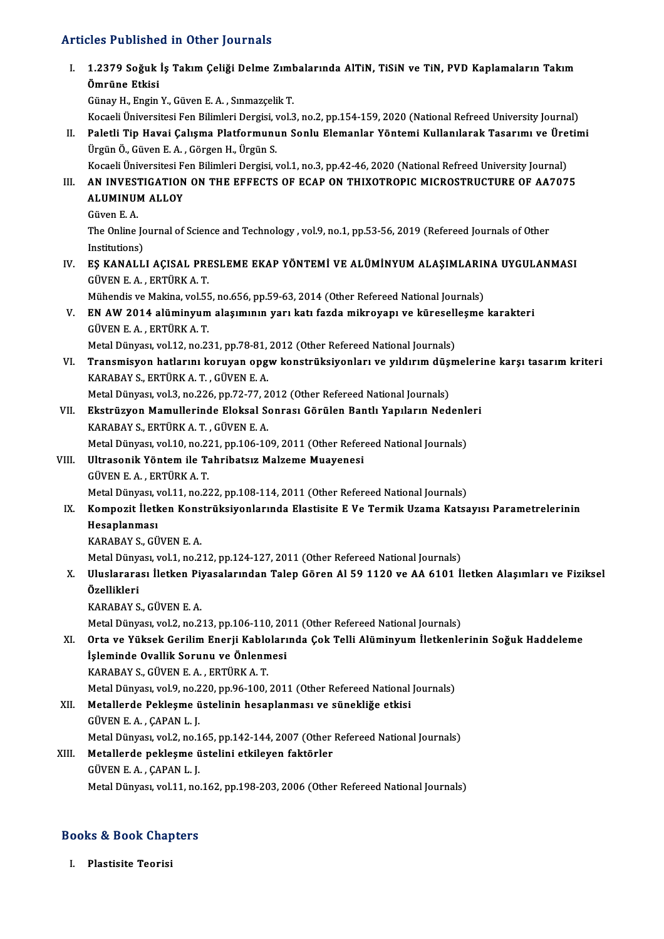# Articles Published in Other Journals

|       | <b>Articles Published in Other Journals</b>                                                                                                                                                                                                                        |
|-------|--------------------------------------------------------------------------------------------------------------------------------------------------------------------------------------------------------------------------------------------------------------------|
| L.    | 1.2379 Soğuk İş Takım Çeliği Delme Zımbalarında AlTiN, TiSiN ve TiN, PVD Kaplamaların Takım<br>Ömrüne Etkisi<br>Günay H., Engin Y., Güven E. A., Sınmazçelik T.                                                                                                    |
| Н.    | Kocaeli Üniversitesi Fen Bilimleri Dergisi, vol.3, no.2, pp.154-159, 2020 (National Refreed University Journal)<br>Paletli Tip Havai Çalışma Platformunun Sonlu Elemanlar Yöntemi Kullanılarak Tasarımı ve Üretimi<br>Ürgün Ö., Güven E. A., Görgen H., Ürgün S.   |
| III.  | Kocaeli Üniversitesi Fen Bilimleri Dergisi, vol.1, no.3, pp.42-46, 2020 (National Refreed University Journal)<br>AN INVESTIGATION ON THE EFFECTS OF ECAP ON THIXOTROPIC MICROSTRUCTURE OF AA7075<br><b>ALUMINUM ALLOY</b>                                          |
|       | Güven E A<br>The Online Journal of Science and Technology , vol.9, no.1, pp.53-56, 2019 (Refereed Journals of Other<br>Institutions)                                                                                                                               |
| IV.   | EŞ KANALLI AÇISAL PRESLEME EKAP YÖNTEMİ VE ALÜMİNYUM ALAŞIMLARINA UYGULANMASI<br>GÜVEN E.A., ERTÜRK A.T.                                                                                                                                                           |
| V.    | Mühendis ve Makina, vol.55, no.656, pp.59-63, 2014 (Other Refereed National Journals)<br>EN AW 2014 alüminyum alaşımının yarı katı fazda mikroyapı ve küreselleşme karakteri<br>GÜVEN E.A., ERTÜRK A.T.                                                            |
| VI.   | Metal Dünyası, vol.12, no.231, pp.78-81, 2012 (Other Refereed National Journals)<br>Transmisyon hatlarını koruyan opgw konstrüksiyonları ve yıldırım düşmelerine karşı tasarım kriteri                                                                             |
|       | KARABAY S., ERTÜRK A. T., GÜVEN E. A.<br>Metal Dünyası, vol.3, no.226, pp.72-77, 2012 (Other Refereed National Journals)                                                                                                                                           |
| VII.  | Ekstrüzyon Mamullerinde Eloksal Sonrası Görülen Bantlı Yapıların Nedenleri<br>KARABAY S., ERTÜRK A. T., GÜVEN E. A.                                                                                                                                                |
| VIII. | Metal Dünyası, vol.10, no.221, pp.106-109, 2011 (Other Refereed National Journals)<br>Ultrasonik Yöntem ile Tahribatsız Malzeme Muayenesi<br>GÜVEN E.A., ERTÜRK A.T.                                                                                               |
| IX.   | Metal Dünyası, vol.11, no.222, pp.108-114, 2011 (Other Refereed National Journals)<br>Kompozit İletken Konstrüksiyonlarında Elastisite E Ve Termik Uzama Katsayısı Parametrelerinin<br>Hesaplanması                                                                |
| X.    | KARABAY S., GÜVEN E. A.<br>Metal Dünyası, vol.1, no.212, pp.124-127, 2011 (Other Refereed National Journals)<br>Uluslararası İletken Piyasalarından Talep Gören Al 59 1120 ve AA 6101 İletken Alaşımları ve Fiziksel                                               |
|       | Özellikleri<br>KARABAY S., GÜVEN E. A.                                                                                                                                                                                                                             |
| XI.   | Metal Dünyası, vol.2, no.213, pp.106-110, 2011 (Other Refereed National Journals)<br>Orta ve Yüksek Gerilim Enerji Kablolarında Çok Telli Alüminyum İletkenlerinin Soğuk Haddeleme<br>İşleminde Ovallik Sorunu ve Önlenmesi<br>KARABAY S., GÜVEN E.A., ERTÜRK A.T. |
| XII.  | Metal Dünyası, vol.9, no.220, pp.96-100, 2011 (Other Refereed National Journals)<br>Metallerde Pekleşme üstelinin hesaplanması ve sünekliğe etkisi<br>GÜVEN E A , ÇAPAN L J                                                                                        |
| XIII. | Metal Dünyası, vol.2, no.165, pp.142-144, 2007 (Other Refereed National Journals)<br>Metallerde pekleşme üstelini etkileyen faktörler<br>GÜVEN E.A., ÇAPAN L.J.                                                                                                    |
|       | Metal Dünyası, vol.11, no.162, pp.198-203, 2006 (Other Refereed National Journals)                                                                                                                                                                                 |
|       | <b>Books &amp; Book Chapters</b>                                                                                                                                                                                                                                   |

## ooks & Book Cha<mark>r</mark><br>I. Plastisite Teorisi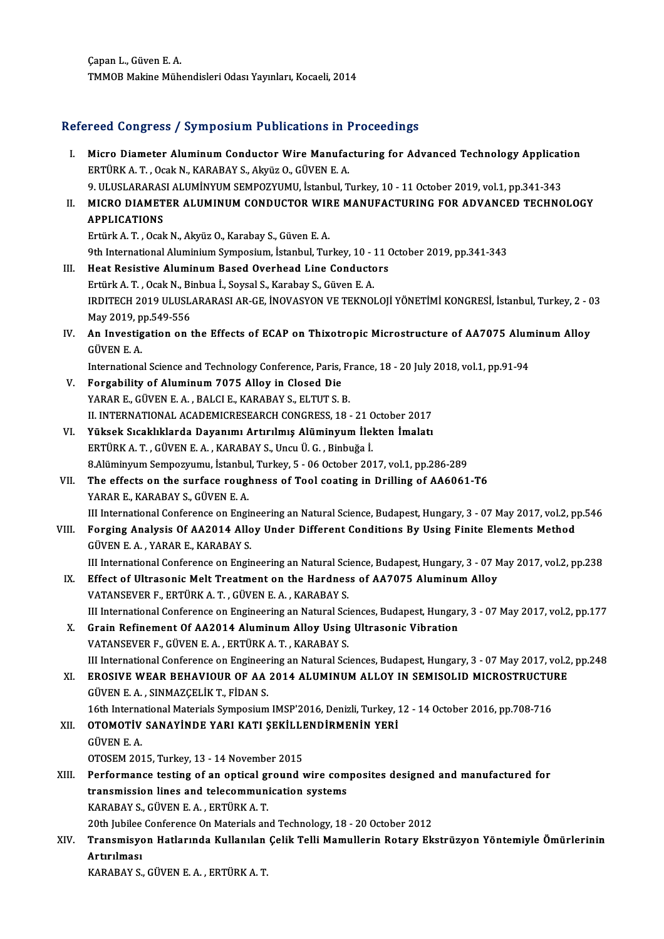ÇapanL.,GüvenE.A. TMMOB Makine Mühendisleri Odası Yayınları, Kocaeli, 2014

# IMMOB Makine Munendisieri Odasi Yayınları, Kocaeli, 2014<br>Refereed Congress / Symposium Publications in Proceedings

| Refereed Congress / Symposium Publications in Proceedings |                                                                                                                                                                                            |  |
|-----------------------------------------------------------|--------------------------------------------------------------------------------------------------------------------------------------------------------------------------------------------|--|
| Ι.                                                        | Micro Diameter Aluminum Conductor Wire Manufacturing for Advanced Technology Application<br>ERTÜRK A.T., Ocak N., KARABAY S., Akyüz O., GÜVEN E.A.                                         |  |
| Н.                                                        | 9. ULUSLARARASI ALUMİNYUM SEMPOZYUMU, İstanbul, Turkey, 10 - 11 October 2019, vol.1, pp.341-343<br>MICRO DIAMETER ALUMINUM CONDUCTOR WIRE MANUFACTURING FOR ADVANCED TECHNOLOGY            |  |
|                                                           | <b>APPLICATIONS</b><br>Ertürk A. T., Ocak N., Akyüz O., Karabay S., Güven E. A.                                                                                                            |  |
|                                                           | 9th International Aluminium Symposium, İstanbul, Turkey, 10 - 11 October 2019, pp.341-343                                                                                                  |  |
| III.                                                      | Heat Resistive Aluminum Based Overhead Line Conductors                                                                                                                                     |  |
|                                                           | Ertürk A. T., Ocak N., Binbua İ., Soysal S., Karabay S., Güven E. A.                                                                                                                       |  |
|                                                           | IRDITECH 2019 ULUSLARARASI AR-GE, İNOVASYON VE TEKNOLOJİ YÖNETİMİ KONGRESİ, İstanbul, Turkey, 2 - 03<br>May 2019, pp.549-556                                                               |  |
| IV.                                                       | An Investigation on the Effects of ECAP on Thixotropic Microstructure of AA7075 Aluminum Alloy<br><b>GÜVEN E.A.</b>                                                                        |  |
|                                                           | International Science and Technology Conference, Paris, France, 18 - 20 July 2018, vol.1, pp.91-94                                                                                         |  |
| V.                                                        | Forgability of Aluminum 7075 Alloy in Closed Die                                                                                                                                           |  |
|                                                           | YARAR E., GÜVEN E. A., BALCI E., KARABAY S., ELTUT S. B.                                                                                                                                   |  |
|                                                           | II. INTERNATIONAL ACADEMICRESEARCH CONGRESS, 18 - 21 October 2017                                                                                                                          |  |
| VI.                                                       | Yüksek Sıcaklıklarda Dayanımı Artırılmış Alüminyum İlekten İmalatı                                                                                                                         |  |
|                                                           | ERTÜRK A.T., GÜVEN E.A., KARABAY S., Uncu Ü.G., Binbuğa İ.                                                                                                                                 |  |
| VII.                                                      | 8.Alüminyum Sempozyumu, İstanbul, Turkey, 5 - 06 October 2017, vol.1, pp.286-289<br>The effects on the surface roughness of Tool coating in Drilling of AA6061-T6                          |  |
|                                                           | YARAR E, KARABAY S, GÜVEN E.A.                                                                                                                                                             |  |
|                                                           | III International Conference on Engineering an Natural Science, Budapest, Hungary, 3 - 07 May 2017, vol.2, pp.546                                                                          |  |
| VIII.                                                     | Forging Analysis Of AA2014 Alloy Under Different Conditions By Using Finite Elements Method<br>GÜVEN E.A., YARAR E., KARABAY S.                                                            |  |
|                                                           | III International Conference on Engineering an Natural Science, Budapest, Hungary, 3 - 07 May 2017, vol.2, pp.238                                                                          |  |
| IX.                                                       | Effect of Ultrasonic Melt Treatment on the Hardness of AA7075 Aluminum Alloy                                                                                                               |  |
|                                                           | VATANSEVER F., ERTÜRK A. T., GÜVEN E. A., KARABAY S.                                                                                                                                       |  |
| Х.                                                        | III International Conference on Engineering an Natural Sciences, Budapest, Hungary, 3 - 07 May 2017, vol.2, pp.177<br>Grain Refinement Of AA2014 Aluminum Alloy Using Ultrasonic Vibration |  |
|                                                           | VATANSEVER F., GÜVEN E. A., ERTÜRK A. T., KARABAY S.<br>III International Conference on Engineering an Natural Sciences, Budapest, Hungary, 3 - 07 May 2017, vol.2, pp.248                 |  |
| XI.                                                       | EROSIVE WEAR BEHAVIOUR OF AA 2014 ALUMINUM ALLOY IN SEMISOLID MICROSTRUCTURE                                                                                                               |  |
|                                                           | GÜVEN E.A., SINMAZÇELİK T., FİDAN S.                                                                                                                                                       |  |
|                                                           | 16th International Materials Symposium IMSP'2016, Denizli, Turkey, 12 - 14 October 2016, pp.708-716                                                                                        |  |
| XII.                                                      | OTOMOTIV SANAYINDE YARI KATI ŞEKİLLENDİRMENİN YERİ                                                                                                                                         |  |
|                                                           | <b>GÜVEN E A</b>                                                                                                                                                                           |  |
|                                                           | OTOSEM 2015, Turkey, 13 - 14 November 2015                                                                                                                                                 |  |
| XIII.                                                     | Performance testing of an optical ground wire composites designed and manufactured for                                                                                                     |  |
|                                                           | transmission lines and telecommunication systems                                                                                                                                           |  |
|                                                           | KARABAY S., GÜVEN E. A., ERTÜRK A. T.                                                                                                                                                      |  |
|                                                           | 20th Jubilee Conference On Materials and Technology, 18 - 20 October 2012                                                                                                                  |  |
| XIV.                                                      | Transmisyon Hatlarında Kullanılan Çelik Telli Mamullerin Rotary Ekstrüzyon Yöntemiyle Ömürlerinin                                                                                          |  |
|                                                           | Artırılması<br>KARABAY S., GÜVEN E. A., ERTÜRK A. T.                                                                                                                                       |  |
|                                                           |                                                                                                                                                                                            |  |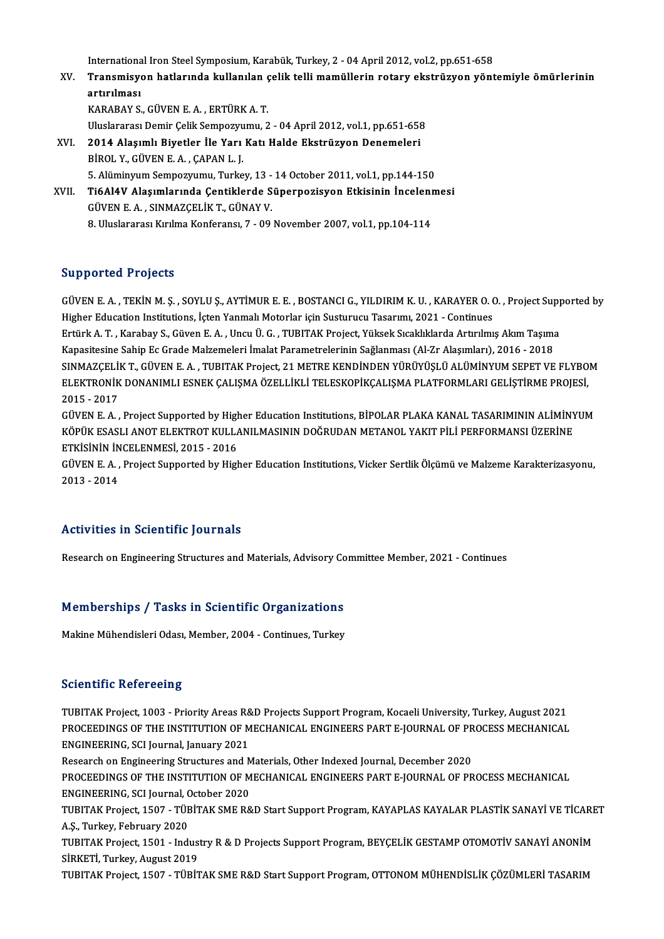International Iron Steel Symposium, Karabük, Turkey, 2 - 04 April 2012, vol.2, pp.651-658<br>Transmisyon hatlanında kullanılan salik telli mamüllarin natany ekstrüsyon yönt

International Iron Steel Symposium, Karabük, Turkey, 2 - 04 April 2012, vol.2, pp.651-658<br>XV. Transmisyon hatlarında kullanılan çelik telli mamüllerin rotary ekstrüzyon yöntemiyle ömürlerinin Internationa<br>Transmisyo<br>artırılması<br>KARARAY S Transmisyon hatlarında kullanılan ç<br>artırılması<br>KARABAY S., GÜVEN E. A. , ERTÜRK A. T.<br>Uluelararesı Demir Gelik Semnezzumu. 2 artırılması<br>KARABAY S., GÜVEN E. A. , ERTÜRK A. T.<br>Uluslararası Demir Çelik Sempozyumu, 2 - 04 April 2012, vol.1, pp.651-658

- XVI. 2014 Alaşımlı Biyetler İle Yarı Katı Halde Ekstrüzyon Denemeleri BİROL Y., GÜVEN E. A., ÇAPAN L. J. 5. Alüminyum Sempozyumu, Turkey, 13 - 14 October 2011, vol.1, pp.144-150 BİROL Y., GÜVEN E. A. , ÇAPAN L. J.<br>5. Alüminyum Sempozyumu, Turkey, 13 - 14 October 2011, vol.1, pp.144-150<br>XVII. Ti6Al4V Alaşımlarında Çentiklerde Süperpozisyon Etkisinin İncelenmesi<br>CÜVEN E.A. SINMAZCELİK T. CÜNAY
- 5. Alüminyum Sempozyumu, Turkey, 13 -<br>Ti6Al4V Alaşımlarında Çentiklerde S<br>GÜVEN E.A., SINMAZÇELİK T., GÜNAY V. Ti6Al4V Alaşımlarında Çentiklerde Süperpozisyon Etkisinin İncelenı<br>GÜVEN E. A. , SINMAZÇELİK T., GÜNAY V.<br>8. Uluslararası Kırılma Konferansı, 7 - 09 November 2007, vol.1, pp.104-114 8. Uluslararası Kırılma Konferansı, 7 - 09 November 2007, vol.1, pp.104-114<br>Supported Projects

Supported Projects<br>GÜVEN E. A. , TEKİN M. Ş. , SOYLU Ş., AYTİMUR E. E. , BOSTANCI G., YILDIRIM K. U. , KARAYER O. O. , Project Supported by<br>Hisbor Edusation Institutions, İstan Yanmalı Matarlar isin Sustumum Tagarımı 2021, Bupporteur I 1998es<br>GÜVEN E. A. , TEKİN M. Ş. , SOYLU Ş., AYTİMUR E. E. , BOSTANCI G., YILDIRIM K. U. , KARAYER O. (<br>Higher Education Institutions, İçten Yanmalı Motorlar için Susturucu Tasarımı, 2021 - Continues<br>Entürk A. GÜVEN E. A. , TEKİN M. Ş. , SOYLU Ş., AYTİMUR E. E. , BOSTANCI G., YILDIRIM K. U. , KARAYER O. O. , Project Supp<br>Higher Education Institutions, İçten Yanmalı Motorlar için Susturucu Tasarımı, 2021 - Continues<br>Ertürk A. T. Higher Education Institutions, İçten Yanmalı Motorlar için Susturucu Tasarımı, 2021 - Continues<br>Ertürk A. T. , Karabay S., Güven E. A. , Uncu Ü. G. , TUBITAK Project, Yüksek Sıcaklıklarda Artırılmış Akım Taşıma<br>Kapasitesin Ertürk A. T. , Karabay S., Güven E. A. , Uncu Ü. G. , TUBITAK Project, Yüksek Sıcaklıklarda Artırılmış Akım Taşıma<br>Kapasitesine Sahip Ec Grade Malzemeleri İmalat Parametrelerinin Sağlanması (Al-Zr Alaşımları), 2016 - 2018<br> Kapasitesine Sahip Ec Grade Malzemeleri İmalat Parametrelerinin Sağlanması (Al-Zr Alaşımları), 2016 - 2018<br>SINMAZÇELİK T., GÜVEN E. A. , TUBITAK Project, 21 METRE KENDİNDEN YÜRÜYÜŞLÜ ALÜMİNYUM SEPET VE FLYBO<br>ELEKTRONİK DON SINMAZÇELİ<br>ELEKTRONİK<br>2015 - 2017<br>CÜVEN E.A ELEKTRONİK DONANIMLI ESNEK ÇALIŞMA ÖZELLİKLİ TELESKOPİKÇALIŞMA PLATFORMLARI GELİŞTİRME PROJESİ,<br>2015 - 2017<br>GÜVEN E. A. , Project Supported by Higher Education Institutions, BİPOLAR PLAKA KANAL TASARIMININ ALİMİNYUM<br>KÖPÜK

2015 - 2017<br>GÜVEN E. A. , Project Supported by Higher Education Institutions, BİPOLAR PLAKA KANAL TASARIMININ ALİMİNY<br>KÖPÜK ESASLI ANOT ELEKTROT KULLANILMASININ DOĞRUDAN METANOL YAKIT PİLİ PERFORMANSI ÜZERİNE<br>FTKİSİNİN İNC GÜVEN E. A. , Project Supported by High<br>KÖPÜK ESASLI ANOT ELEKTROT KULLA<br>ETKİSİNİN İNCELENMESİ, 2015 - 2016<br>CÜVEN E. A. Project Supported by High KÖPÜK ESASLI ANOT ELEKTROT KULLANILMASININ DOĞRUDAN METANOL YAKIT PİLİ PERFORMANSI ÜZERİNE<br>ETKİSİNİN İNCELENMESİ, 2015 - 2016<br>GÜVEN E. A. , Project Supported by Higher Education Institutions, Vicker Sertlik Ölçümü ve Malze

ETKİSİNİN İN<br>GÜVEN E. A. ,<br>2013 - 2014

## Activities in Scientific Journals

Research on Engineering Structures and Materials, Advisory Committee Member, 2021 - Continues

## kesearch on Engineering Structures and Materials, Advisory Co<br>Memberships / Tasks in Scientific Organizations Memberships / Tasks in Scientific Organizations<br>Makine Mühendisleri Odası, Member, 2004 - Continues, Turkey

Makine Mühendisleri Odası, Member, 2004 - Continues, Turkey<br>Scientific Refereeing

Scientific Refereeing<br>TUBITAK Project, 1003 - Priority Areas R&D Projects Support Program, Kocaeli University, Turkey, August 2021<br>PROCEEDINGS OF THE INSTITUTION OF MECHANICAL ENCINEERS BART E JOURNAL OF PROCESS MECHANICAL Betentinie Refereching<br>TUBITAK Project, 1003 - Priority Areas R&D Projects Support Program, Kocaeli University, Turkey, August 2021<br>PROCEEDINGS OF THE INSTITUTION OF MECHANICAL ENGINEERS PART E-JOURNAL OF PROCESS MECHANICA TUBITAK Project, 1003 - Priority Areas R&<br>PROCEEDINGS OF THE INSTITUTION OF M<br>ENGINEERING, SCI Journal, January 2021<br>Besearsh on Engineering Strugtures and A PROCEEDINGS OF THE INSTITUTION OF MECHANICAL ENGINEERS PART E-JOURNAL OF PROCESS MECHANICAL<br>ENGINEERING, SCI Journal, January 2021

Research on Engineering Structures and Materials, Other Indexed Journal, December 2020

PROCEEDINGS OF THE INSTITUTION OF MECHANICAL ENGINEERS PART E-JOURNAL OF PROCESS MECHANICAL<br>ENGINEERING, SCI Journal, October 2020 PROCEEDINGS OF THE INSTITUTION OF MECHANICAL ENGINEERS PART E-JOURNAL OF PROCESS MECHANICAL<br>ENGINEERING, SCI Journal, October 2020<br>TUBITAK Project, 1507 - TÜBİTAK SME R&D Start Support Program, KAYAPLAS KAYALAR PLASTİK SAN

ENGINEERING, SCI Journal, C<br>TUBITAK Project, 1507 - TÜE<br>A.Ş., Turkey, February 2020<br>TUBITAK Project 1501 - Indi TUBITAK Project, 1507 - TÜBİTAK SME R&D Start Support Program, KAYAPLAS KAYALAR PLASTİK SANAYİ VE TİCARE<br>A.Ş., Turkey, February 2020<br>TUBITAK Project, 1501 - Industry R & D Projects Support Program, BEYÇELİK GESTAMP OTOMOTİ

A.Ş., Turkey, February 2020<br>TUBITAK Project, 1501 - Industry R & D Projects Support Program, BEYÇELİK GESTAMP OTOMOTİV SANAYİ ANONİM<br>SİRKETİ, Turkey, August 2019<br>TUBITAK Project, 1507 - TÜBİTAK SME R&D Start Support Progra TUBITAK Project, 1501 - Industry R & D Projects Support Program, BEYÇELİK GESTAMP OTOMOTİV SANAYİ ANONİM